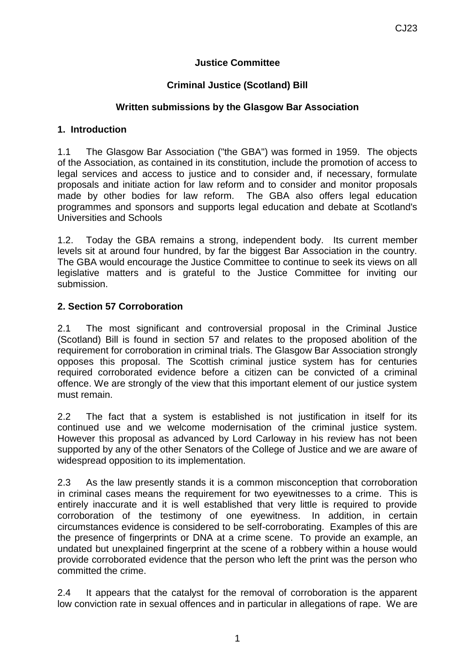# **Justice Committee**

# **Criminal Justice (Scotland) Bill**

### **Written submissions by the Glasgow Bar Association**

#### **1. Introduction**

1.1 The Glasgow Bar Association ("the GBA") was formed in 1959. The objects of the Association, as contained in its constitution, include the promotion of access to legal services and access to justice and to consider and, if necessary, formulate proposals and initiate action for law reform and to consider and monitor proposals made by other bodies for law reform. The GBA also offers legal education programmes and sponsors and supports legal education and debate at Scotland's Universities and Schools

1.2. Today the GBA remains a strong, independent body. Its current member levels sit at around four hundred, by far the biggest Bar Association in the country. The GBA would encourage the Justice Committee to continue to seek its views on all legislative matters and is grateful to the Justice Committee for inviting our submission.

### **2. Section 57 Corroboration**

2.1 The most significant and controversial proposal in the Criminal Justice (Scotland) Bill is found in section 57 and relates to the proposed abolition of the requirement for corroboration in criminal trials. The Glasgow Bar Association strongly opposes this proposal. The Scottish criminal justice system has for centuries required corroborated evidence before a citizen can be convicted of a criminal offence. We are strongly of the view that this important element of our justice system must remain.

2.2 The fact that a system is established is not justification in itself for its continued use and we welcome modernisation of the criminal justice system. However this proposal as advanced by Lord Carloway in his review has not been supported by any of the other Senators of the College of Justice and we are aware of widespread opposition to its implementation.

2.3 As the law presently stands it is a common misconception that corroboration in criminal cases means the requirement for two eyewitnesses to a crime. This is entirely inaccurate and it is well established that very little is required to provide corroboration of the testimony of one eyewitness. In addition, in certain circumstances evidence is considered to be self-corroborating. Examples of this are the presence of fingerprints or DNA at a crime scene. To provide an example, an undated but unexplained fingerprint at the scene of a robbery within a house would provide corroborated evidence that the person who left the print was the person who committed the crime.

2.4 It appears that the catalyst for the removal of corroboration is the apparent low conviction rate in sexual offences and in particular in allegations of rape. We are